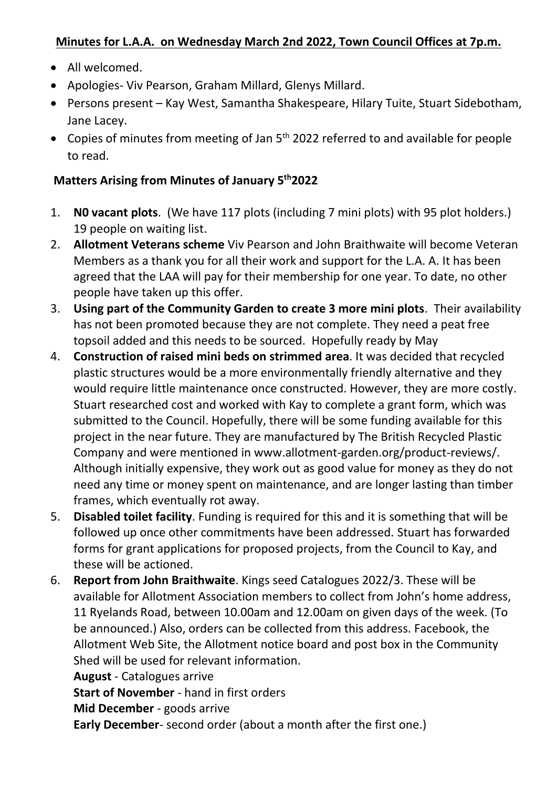### **Minutes for L.A.A. on Wednesday March 2nd 2022, Town Council Offices at 7p.m.**

- All welcomed.
- Apologies- Viv Pearson, Graham Millard, Glenys Millard.
- Persons present Kay West, Samantha Shakespeare, Hilary Tuite, Stuart Sidebotham, Jane Lacey.
- Copies of minutes from meeting of Jan 5<sup>th</sup> 2022 referred to and available for people to read.

### **Matters Arising from Minutes of January 5th2022**

- 1. **N0 vacant plots**. (We have 117 plots (including 7 mini plots) with 95 plot holders.) 19 people on waiting list.
- 2. **Allotment Veterans scheme** Viv Pearson and John Braithwaite will become Veteran Members as a thank you for all their work and support for the L.A. A. It has been agreed that the LAA will pay for their membership for one year. To date, no other people have taken up this offer.
- 3. **Using part of the Community Garden to create 3 more mini plots**. Their availability has not been promoted because they are not complete. They need a peat free topsoil added and this needs to be sourced. Hopefully ready by May
- 4. **Construction of raised mini beds on strimmed area**. It was decided that recycled plastic structures would be a more environmentally friendly alternative and they would require little maintenance once constructed. However, they are more costly. Stuart researched cost and worked with Kay to complete a grant form, which was submitted to the Council. Hopefully, there will be some funding available for this project in the near future. They are manufactured by The British Recycled Plastic Company and were mentioned in www.allotment-garden.org/product-reviews/. Although initially expensive, they work out as good value for money as they do not need any time or money spent on maintenance, and are longer lasting than timber frames, which eventually rot away.
- 5. **Disabled toilet facility**. Funding is required for this and it is something that will be followed up once other commitments have been addressed. Stuart has forwarded forms for grant applications for proposed projects, from the Council to Kay, and these will be actioned.
- 6. **Report from John Braithwaite**. Kings seed Catalogues 2022/3. These will be available for Allotment Association members to collect from John's home address, 11 Ryelands Road, between 10.00am and 12.00am on given days of the week. (To be announced.) Also, orders can be collected from this address. Facebook, the Allotment Web Site, the Allotment notice board and post box in the Community Shed will be used for relevant information. **August** - Catalogues arrive

**Start of November** - hand in first orders

**Mid December** - goods arrive

**Early December**- second order (about a month after the first one.)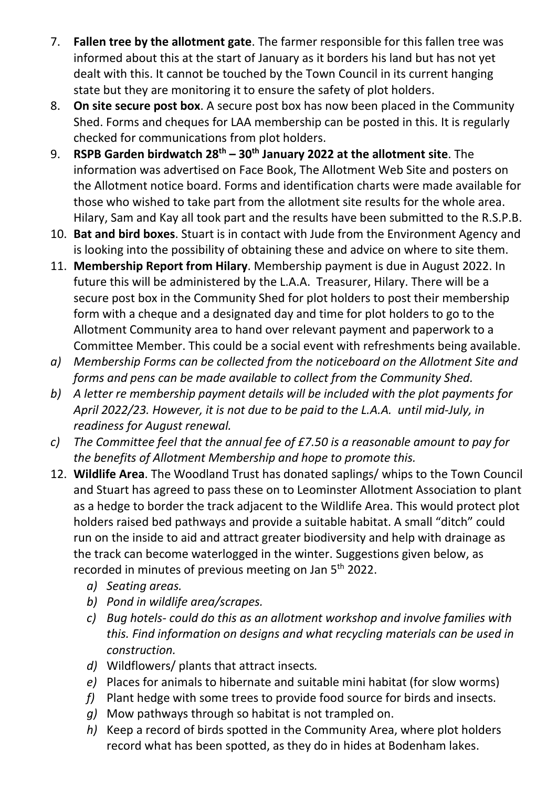- 7. **Fallen tree by the allotment gate**. The farmer responsible for this fallen tree was informed about this at the start of January as it borders his land but has not yet dealt with this. It cannot be touched by the Town Council in its current hanging state but they are monitoring it to ensure the safety of plot holders.
- 8. **On site secure post box**. A secure post box has now been placed in the Community Shed. Forms and cheques for LAA membership can be posted in this. It is regularly checked for communications from plot holders.
- 9. **RSPB Garden birdwatch 28th – 30th January 2022 at the allotment site**. The information was advertised on Face Book, The Allotment Web Site and posters on the Allotment notice board. Forms and identification charts were made available for those who wished to take part from the allotment site results for the whole area. Hilary, Sam and Kay all took part and the results have been submitted to the R.S.P.B.
- 10. **Bat and bird boxes**. Stuart is in contact with Jude from the Environment Agency and is looking into the possibility of obtaining these and advice on where to site them.
- 11. **Membership Report from Hilary**. Membership payment is due in August 2022. In future this will be administered by the L.A.A. Treasurer, Hilary. There will be a secure post box in the Community Shed for plot holders to post their membership form with a cheque and a designated day and time for plot holders to go to the Allotment Community area to hand over relevant payment and paperwork to a Committee Member. This could be a social event with refreshments being available.
- *a) Membership Forms can be collected from the noticeboard on the Allotment Site and forms and pens can be made available to collect from the Community Shed.*
- *b) A letter re membership payment details will be included with the plot payments for April 2022/23. However, it is not due to be paid to the L.A.A. until mid-July, in readiness for August renewal.*
- *c) The Committee feel that the annual fee of £7.50 is a reasonable amount to pay for the benefits of Allotment Membership and hope to promote this.*
- 12. **Wildlife Area**. The Woodland Trust has donated saplings/ whips to the Town Council and Stuart has agreed to pass these on to Leominster Allotment Association to plant as a hedge to border the track adjacent to the Wildlife Area. This would protect plot holders raised bed pathways and provide a suitable habitat. A small "ditch" could run on the inside to aid and attract greater biodiversity and help with drainage as the track can become waterlogged in the winter. Suggestions given below, as recorded in minutes of previous meeting on Jan 5<sup>th</sup> 2022.
	- *a) Seating areas.*
	- *b) Pond in wildlife area/scrapes.*
	- *c) Bug hotels- could do this as an allotment workshop and involve families with this. Find information on designs and what recycling materials can be used in construction.*
	- *d)* Wildflowers/ plants that attract insects*.*
	- *e)* Places for animals to hibernate and suitable mini habitat (for slow worms)
	- *f)* Plant hedge with some trees to provide food source for birds and insects.
	- *g)* Mow pathways through so habitat is not trampled on.
	- *h)* Keep a record of birds spotted in the Community Area, where plot holders record what has been spotted, as they do in hides at Bodenham lakes.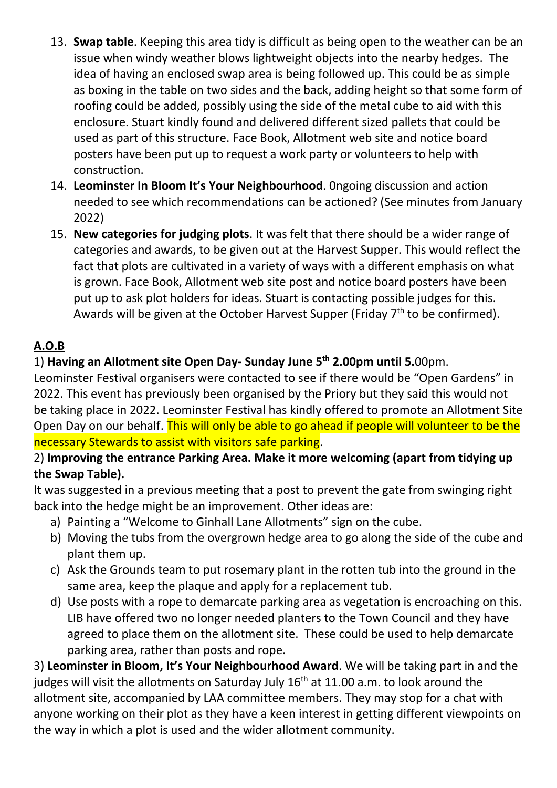- 13. **Swap table**. Keeping this area tidy is difficult as being open to the weather can be an issue when windy weather blows lightweight objects into the nearby hedges. The idea of having an enclosed swap area is being followed up. This could be as simple as boxing in the table on two sides and the back, adding height so that some form of roofing could be added, possibly using the side of the metal cube to aid with this enclosure. Stuart kindly found and delivered different sized pallets that could be used as part of this structure. Face Book, Allotment web site and notice board posters have been put up to request a work party or volunteers to help with construction.
- 14. **Leominster In Bloom It's Your Neighbourhood**. 0ngoing discussion and action needed to see which recommendations can be actioned? (See minutes from January 2022)
- 15. **New categories for judging plots**. It was felt that there should be a wider range of categories and awards, to be given out at the Harvest Supper. This would reflect the fact that plots are cultivated in a variety of ways with a different emphasis on what is grown. Face Book, Allotment web site post and notice board posters have been put up to ask plot holders for ideas. Stuart is contacting possible judges for this. Awards will be given at the October Harvest Supper (Friday  $7<sup>th</sup>$  to be confirmed).

# **A.O.B**

## 1) **Having an Allotment site Open Day- Sunday June 5th 2.00pm until 5.**00pm.

Leominster Festival organisers were contacted to see if there would be "Open Gardens" in 2022. This event has previously been organised by the Priory but they said this would not be taking place in 2022. Leominster Festival has kindly offered to promote an Allotment Site Open Day on our behalf. This will only be able to go ahead if people will volunteer to be the necessary Stewards to assist with visitors safe parking.

### 2) **Improving the entrance Parking Area. Make it more welcoming (apart from tidying up the Swap Table).**

It was suggested in a previous meeting that a post to prevent the gate from swinging right back into the hedge might be an improvement. Other ideas are:

- a) Painting a "Welcome to Ginhall Lane Allotments" sign on the cube.
- b) Moving the tubs from the overgrown hedge area to go along the side of the cube and plant them up.
- c) Ask the Grounds team to put rosemary plant in the rotten tub into the ground in the same area, keep the plaque and apply for a replacement tub.
- d) Use posts with a rope to demarcate parking area as vegetation is encroaching on this. LIB have offered two no longer needed planters to the Town Council and they have agreed to place them on the allotment site. These could be used to help demarcate parking area, rather than posts and rope.

3) **Leominster in Bloom, It's Your Neighbourhood Award**. We will be taking part in and the judges will visit the allotments on Saturday July  $16<sup>th</sup>$  at 11.00 a.m. to look around the allotment site, accompanied by LAA committee members. They may stop for a chat with anyone working on their plot as they have a keen interest in getting different viewpoints on the way in which a plot is used and the wider allotment community.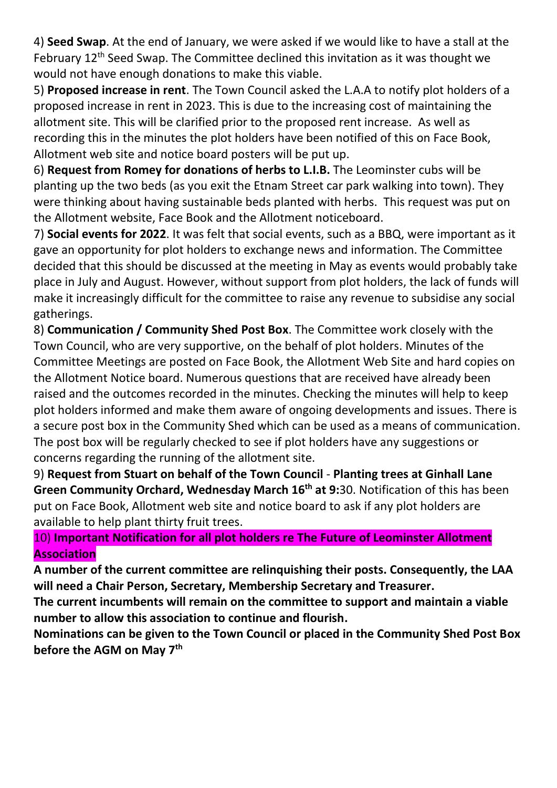4) **Seed Swap**. At the end of January, we were asked if we would like to have a stall at the February  $12<sup>th</sup>$  Seed Swap. The Committee declined this invitation as it was thought we would not have enough donations to make this viable.

5) **Proposed increase in rent**. The Town Council asked the L.A.A to notify plot holders of a proposed increase in rent in 2023. This is due to the increasing cost of maintaining the allotment site. This will be clarified prior to the proposed rent increase. As well as recording this in the minutes the plot holders have been notified of this on Face Book, Allotment web site and notice board posters will be put up.

6) **Request from Romey for donations of herbs to L.I.B.** The Leominster cubs will be planting up the two beds (as you exit the Etnam Street car park walking into town). They were thinking about having sustainable beds planted with herbs. This request was put on the Allotment website, Face Book and the Allotment noticeboard.

7) **Social events for 2022**. It was felt that social events, such as a BBQ, were important as it gave an opportunity for plot holders to exchange news and information. The Committee decided that this should be discussed at the meeting in May as events would probably take place in July and August. However, without support from plot holders, the lack of funds will make it increasingly difficult for the committee to raise any revenue to subsidise any social gatherings.

8) **Communication / Community Shed Post Box**. The Committee work closely with the Town Council, who are very supportive, on the behalf of plot holders. Minutes of the Committee Meetings are posted on Face Book, the Allotment Web Site and hard copies on the Allotment Notice board. Numerous questions that are received have already been raised and the outcomes recorded in the minutes. Checking the minutes will help to keep plot holders informed and make them aware of ongoing developments and issues. There is a secure post box in the Community Shed which can be used as a means of communication. The post box will be regularly checked to see if plot holders have any suggestions or concerns regarding the running of the allotment site.

9) **Request from Stuart on behalf of the Town Council** - **Planting trees at Ginhall Lane Green Community Orchard, Wednesday March 16th at 9:**30. Notification of this has been put on Face Book, Allotment web site and notice board to ask if any plot holders are available to help plant thirty fruit trees.

## 10) **Important Notification for all plot holders re The Future of Leominster Allotment Association**

**A number of the current committee are relinquishing their posts. Consequently, the LAA will need a Chair Person, Secretary, Membership Secretary and Treasurer.**

**The current incumbents will remain on the committee to support and maintain a viable number to allow this association to continue and flourish.**

**Nominations can be given to the Town Council or placed in the Community Shed Post Box before the AGM on May 7th**